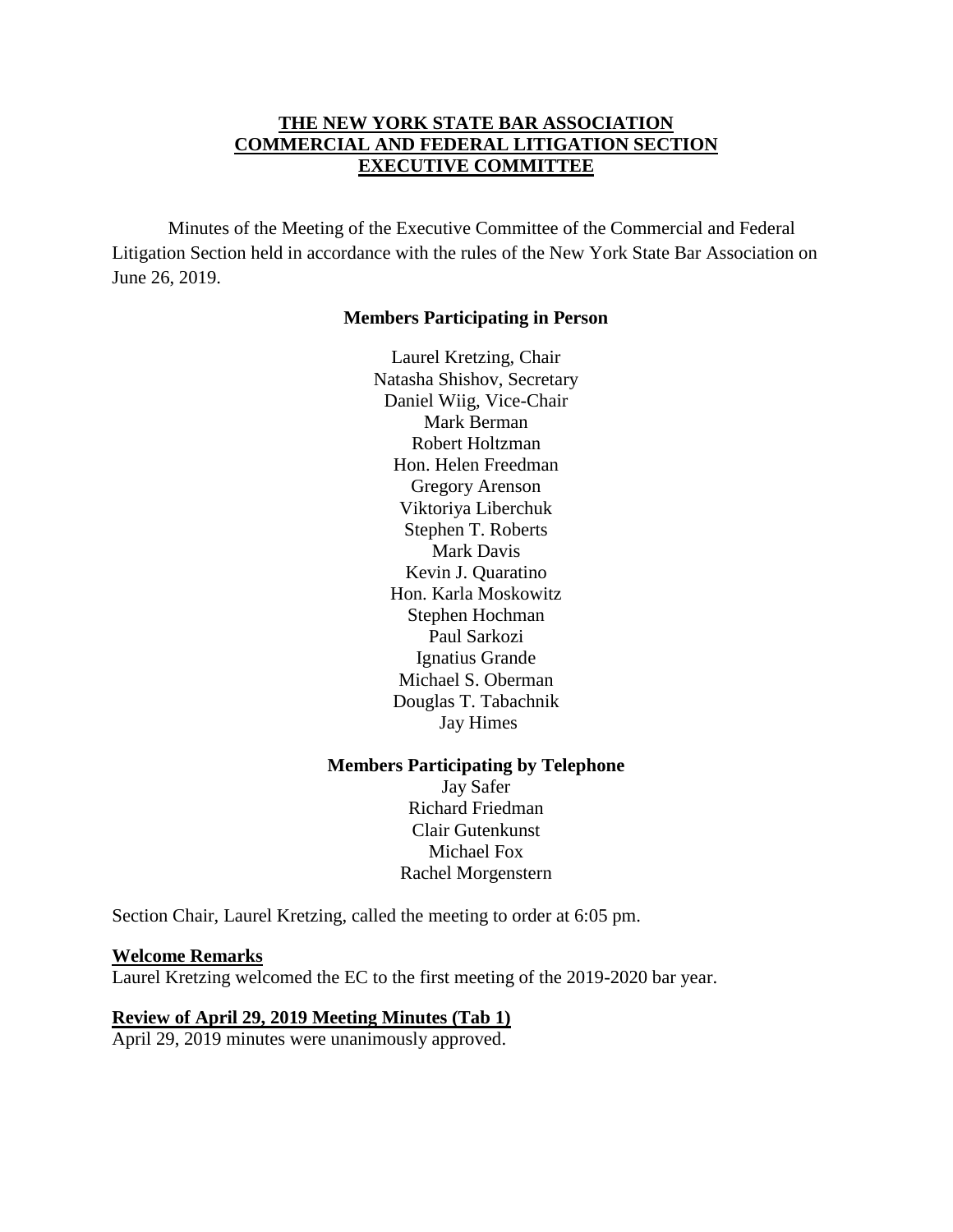### **THE NEW YORK STATE BAR ASSOCIATION COMMERCIAL AND FEDERAL LITIGATION SECTION EXECUTIVE COMMITTEE**

Minutes of the Meeting of the Executive Committee of the Commercial and Federal Litigation Section held in accordance with the rules of the New York State Bar Association on June 26, 2019.

#### **Members Participating in Person**

Laurel Kretzing, Chair Natasha Shishov, Secretary Daniel Wiig, Vice-Chair Mark Berman Robert Holtzman Hon. Helen Freedman Gregory Arenson Viktoriya Liberchuk Stephen T. Roberts Mark Davis Kevin J. Quaratino Hon. Karla Moskowitz Stephen Hochman Paul Sarkozi Ignatius Grande Michael S. Oberman Douglas T. Tabachnik Jay Himes

#### **Members Participating by Telephone**

Jay Safer Richard Friedman Clair Gutenkunst Michael Fox Rachel Morgenstern

Section Chair, Laurel Kretzing, called the meeting to order at 6:05 pm.

#### **Welcome Remarks**

Laurel Kretzing welcomed the EC to the first meeting of the 2019-2020 bar year.

#### **Review of April 29, 2019 Meeting Minutes (Tab 1)**

April 29, 2019 minutes were unanimously approved.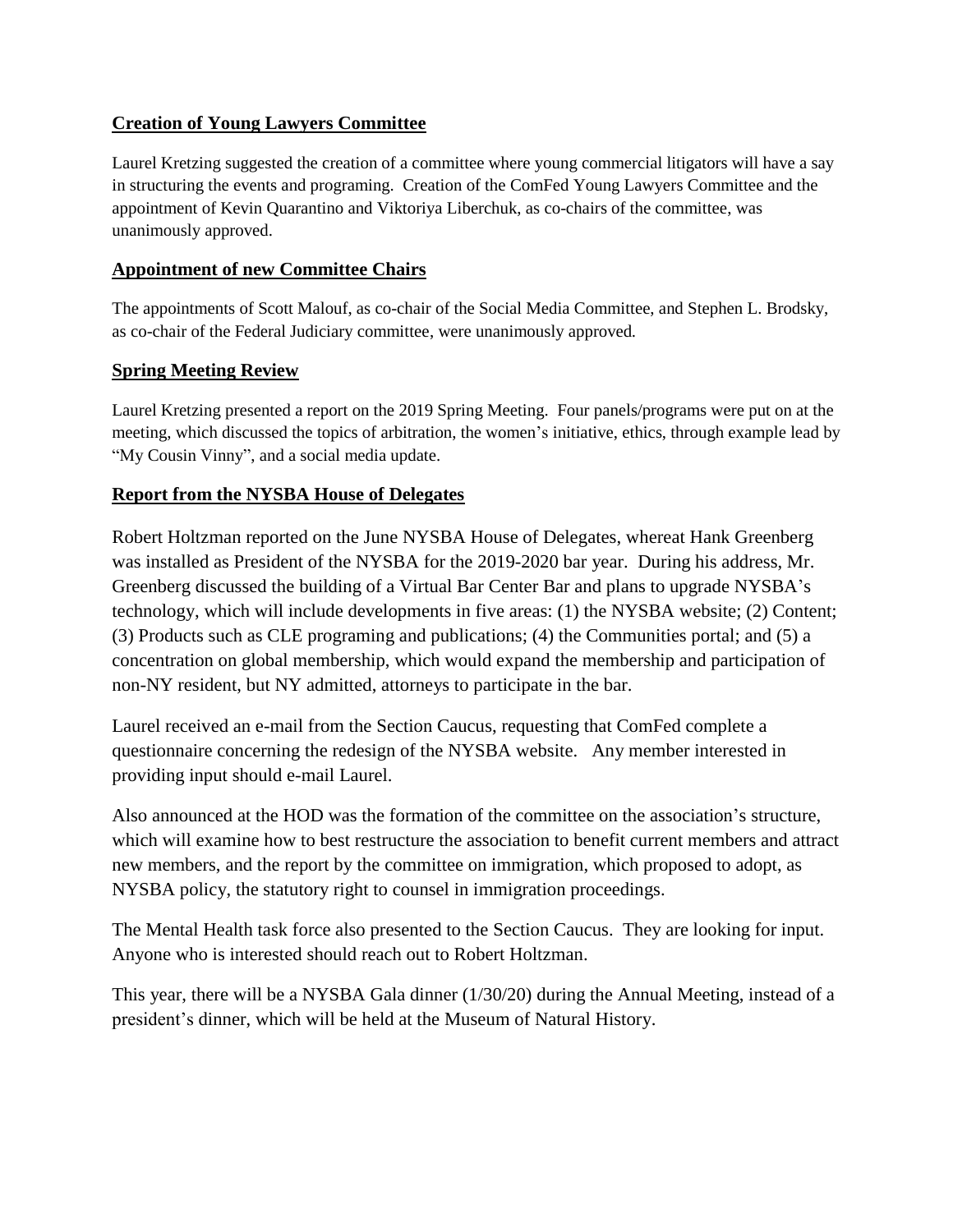# **Creation of Young Lawyers Committee**

Laurel Kretzing suggested the creation of a committee where young commercial litigators will have a say in structuring the events and programing. Creation of the ComFed Young Lawyers Committee and the appointment of Kevin Quarantino and Viktoriya Liberchuk, as co-chairs of the committee, was unanimously approved.

## **Appointment of new Committee Chairs**

The appointments of Scott Malouf, as co-chair of the Social Media Committee, and Stephen L. Brodsky, as co-chair of the Federal Judiciary committee, were unanimously approved*.* 

## **Spring Meeting Review**

Laurel Kretzing presented a report on the 2019 Spring Meeting. Four panels/programs were put on at the meeting, which discussed the topics of arbitration, the women's initiative, ethics, through example lead by "My Cousin Vinny", and a social media update.

# **Report from the NYSBA House of Delegates**

Robert Holtzman reported on the June NYSBA House of Delegates, whereat Hank Greenberg was installed as President of the NYSBA for the 2019-2020 bar year. During his address, Mr. Greenberg discussed the building of a Virtual Bar Center Bar and plans to upgrade NYSBA's technology, which will include developments in five areas: (1) the NYSBA website; (2) Content; (3) Products such as CLE programing and publications; (4) the Communities portal; and (5) a concentration on global membership, which would expand the membership and participation of non-NY resident, but NY admitted, attorneys to participate in the bar.

Laurel received an e-mail from the Section Caucus, requesting that ComFed complete a questionnaire concerning the redesign of the NYSBA website. Any member interested in providing input should e-mail Laurel.

Also announced at the HOD was the formation of the committee on the association's structure, which will examine how to best restructure the association to benefit current members and attract new members, and the report by the committee on immigration, which proposed to adopt, as NYSBA policy, the statutory right to counsel in immigration proceedings.

The Mental Health task force also presented to the Section Caucus. They are looking for input. Anyone who is interested should reach out to Robert Holtzman.

This year, there will be a NYSBA Gala dinner (1/30/20) during the Annual Meeting, instead of a president's dinner, which will be held at the Museum of Natural History.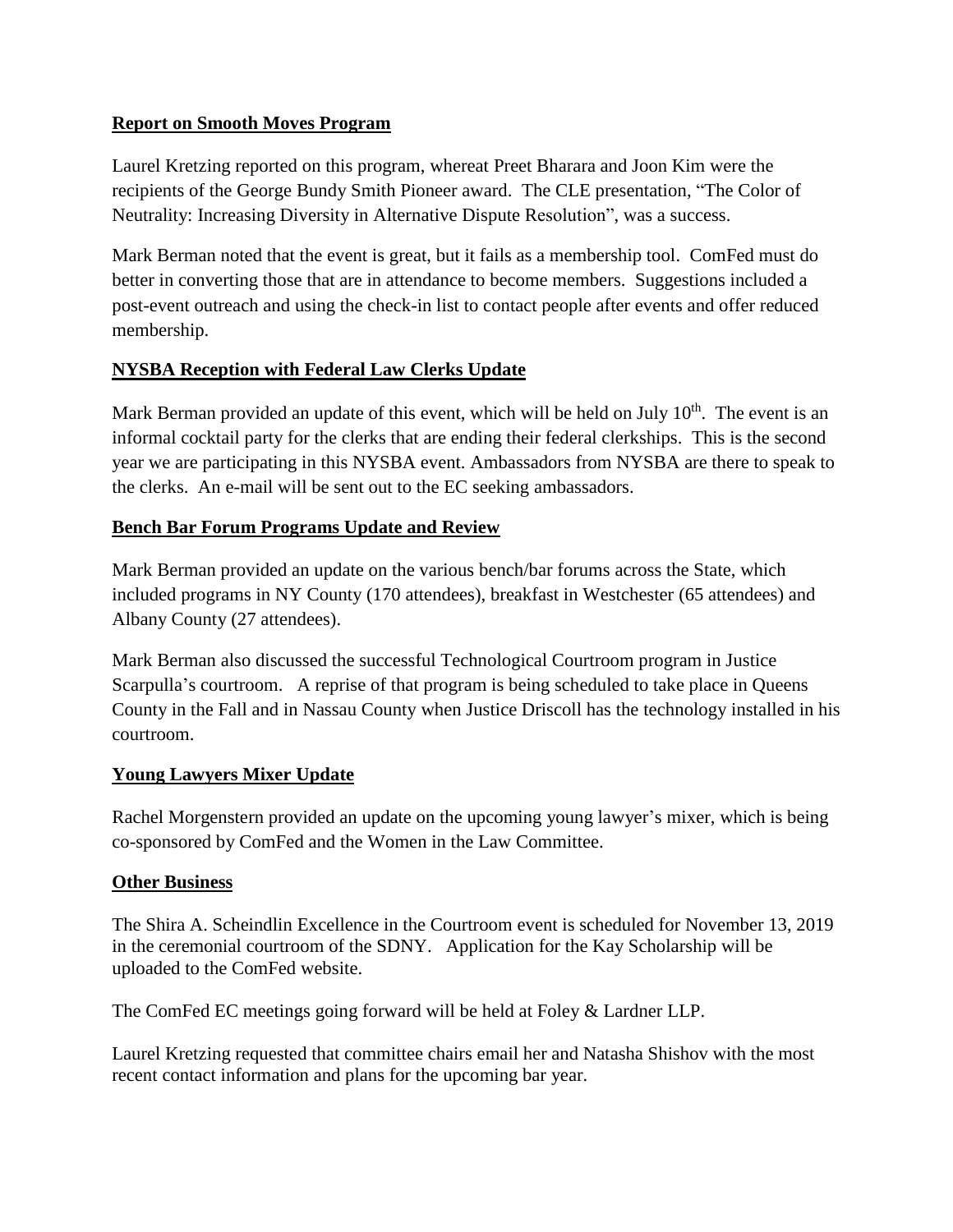## **Report on Smooth Moves Program**

Laurel Kretzing reported on this program, whereat Preet Bharara and Joon Kim were the recipients of the George Bundy Smith Pioneer award. The CLE presentation, "The Color of Neutrality: Increasing Diversity in Alternative Dispute Resolution", was a success.

Mark Berman noted that the event is great, but it fails as a membership tool. ComFed must do better in converting those that are in attendance to become members. Suggestions included a post-event outreach and using the check-in list to contact people after events and offer reduced membership.

## **NYSBA Reception with Federal Law Clerks Update**

Mark Berman provided an update of this event, which will be held on July  $10<sup>th</sup>$ . The event is an informal cocktail party for the clerks that are ending their federal clerkships. This is the second year we are participating in this NYSBA event. Ambassadors from NYSBA are there to speak to the clerks. An e-mail will be sent out to the EC seeking ambassadors.

### **Bench Bar Forum Programs Update and Review**

Mark Berman provided an update on the various bench/bar forums across the State, which included programs in NY County (170 attendees), breakfast in Westchester (65 attendees) and Albany County (27 attendees).

Mark Berman also discussed the successful Technological Courtroom program in Justice Scarpulla's courtroom. A reprise of that program is being scheduled to take place in Queens County in the Fall and in Nassau County when Justice Driscoll has the technology installed in his courtroom.

#### **Young Lawyers Mixer Update**

Rachel Morgenstern provided an update on the upcoming young lawyer's mixer, which is being co-sponsored by ComFed and the Women in the Law Committee.

#### **Other Business**

The Shira A. Scheindlin Excellence in the Courtroom event is scheduled for November 13, 2019 in the ceremonial courtroom of the SDNY. Application for the Kay Scholarship will be uploaded to the ComFed website.

The ComFed EC meetings going forward will be held at Foley & Lardner LLP.

Laurel Kretzing requested that committee chairs email her and Natasha Shishov with the most recent contact information and plans for the upcoming bar year.